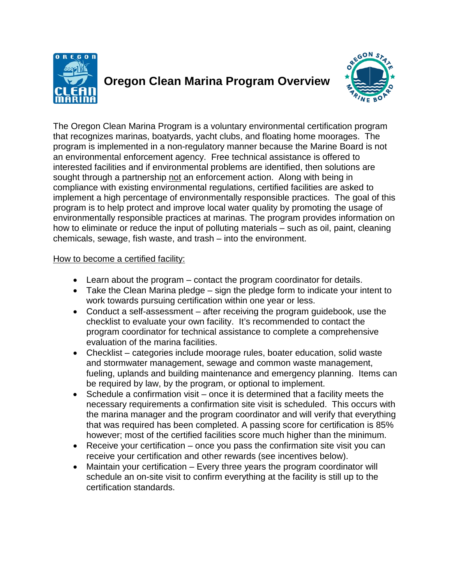

## **Oregon Clean Marina Program Overview**



The Oregon Clean Marina Program is a voluntary environmental certification program that recognizes marinas, boatyards, yacht clubs, and floating home moorages. The program is implemented in a non-regulatory manner because the Marine Board is not an environmental enforcement agency. Free technical assistance is offered to interested facilities and if environmental problems are identified, then solutions are sought through a partnership not an enforcement action. Along with being in compliance with existing environmental regulations, certified facilities are asked to implement a high percentage of environmentally responsible practices. The goal of this program is to help protect and improve local water quality by promoting the usage of environmentally responsible practices at marinas. The program provides information on how to eliminate or reduce the input of polluting materials – such as oil, paint, cleaning chemicals, sewage, fish waste, and trash – into the environment.

## How to become a certified facility:

- Learn about the program contact the program coordinator for details.
- Take the Clean Marina pledge sign the pledge form to indicate your intent to work towards pursuing certification within one year or less.
- Conduct a self-assessment after receiving the program guidebook, use the checklist to evaluate your own facility. It's recommended to contact the program coordinator for technical assistance to complete a comprehensive evaluation of the marina facilities.
- Checklist categories include moorage rules, boater education, solid waste and stormwater management, sewage and common waste management, fueling, uplands and building maintenance and emergency planning. Items can be required by law, by the program, or optional to implement.
- Schedule a confirmation visit once it is determined that a facility meets the necessary requirements a confirmation site visit is scheduled. This occurs with the marina manager and the program coordinator and will verify that everything that was required has been completed. A passing score for certification is 85% however; most of the certified facilities score much higher than the minimum.
- Receive your certification once you pass the confirmation site visit you can receive your certification and other rewards (see incentives below).
- Maintain your certification Every three years the program coordinator will schedule an on-site visit to confirm everything at the facility is still up to the certification standards.